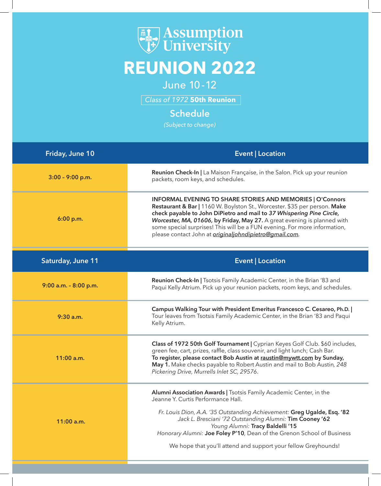## **Examples**<br> **Example 19 February**<br> **Example 19 February REUNION 2022**

June 10-12

*Class of 1972* **50th Reunion**

## **Schedule**

*(Subject to change)*

| Friday, June 10       | <b>Event   Location</b>                                                                                                                                                                                                                                                                                                                                                                                                                            |
|-----------------------|----------------------------------------------------------------------------------------------------------------------------------------------------------------------------------------------------------------------------------------------------------------------------------------------------------------------------------------------------------------------------------------------------------------------------------------------------|
| $3:00 - 9:00$ p.m.    | Reunion Check-In   La Maison Française, in the Salon. Pick up your reunion<br>packets, room keys, and schedules.                                                                                                                                                                                                                                                                                                                                   |
| 6:00 p.m.             | <b>INFORMAL EVENING TO SHARE STORIES AND MEMORIES   O'Connors</b><br>Restaurant & Bar   1160 W. Boylston St., Worcester. \$35 per person. Make<br>check payable to John DiPietro and mail to 37 Whispering Pine Circle,<br>Worcester, MA, 01606, by Friday, May 27. A great evening is planned with<br>some special surprises! This will be a FUN evening. For more information,<br>please contact John at <i>originaljohndipietro@gmail.com</i> . |
| Saturday, June 11     | <b>Event   Location</b>                                                                                                                                                                                                                                                                                                                                                                                                                            |
| 9:00 a.m. - 8:00 p.m. | Reunion Check-In   Tsotsis Family Academic Center, in the Brian '83 and<br>Paqui Kelly Atrium. Pick up your reunion packets, room keys, and schedules.                                                                                                                                                                                                                                                                                             |
| $9:30$ a.m.           | Campus Walking Tour with President Emeritus Francesco C. Cesareo, Ph.D.  <br>Tour leaves from Tsotsis Family Academic Center, in the Brian '83 and Paqui<br>Kelly Atrium.                                                                                                                                                                                                                                                                          |
| $11:00$ a.m.          | Class of 1972 50th Golf Tournament   Cyprian Keyes Golf Club. \$60 includes,<br>green fee, cart, prizes, raffle, class souvenir, and light lunch; Cash Bar.<br>To register, please contact Bob Austin at raustin@mywtt.com by Sunday,<br>May 1. Make checks payable to Robert Austin and mail to Bob Austin, 248<br>Pickering Drive, Murrells Inlet SC, 29576.                                                                                     |
| $11:00$ a.m.          | Alumni Association Awards   Tsotsis Family Academic Center, in the<br>Jeanne Y. Curtis Performance Hall.<br>Fr. Louis Dion, A.A. '35 Outstanding Achievement: Greg Ugalde, Esq. '82<br>Jack L. Bresciani '72 Outstanding Alumni: Tim Cooney '62<br>Young Alumni: Tracy Baldelli '15<br>Honorary Alumni: Joe Foley P'10, Dean of the Grenon School of Business<br>We hope that you'll attend and support your fellow Greyhounds!                    |